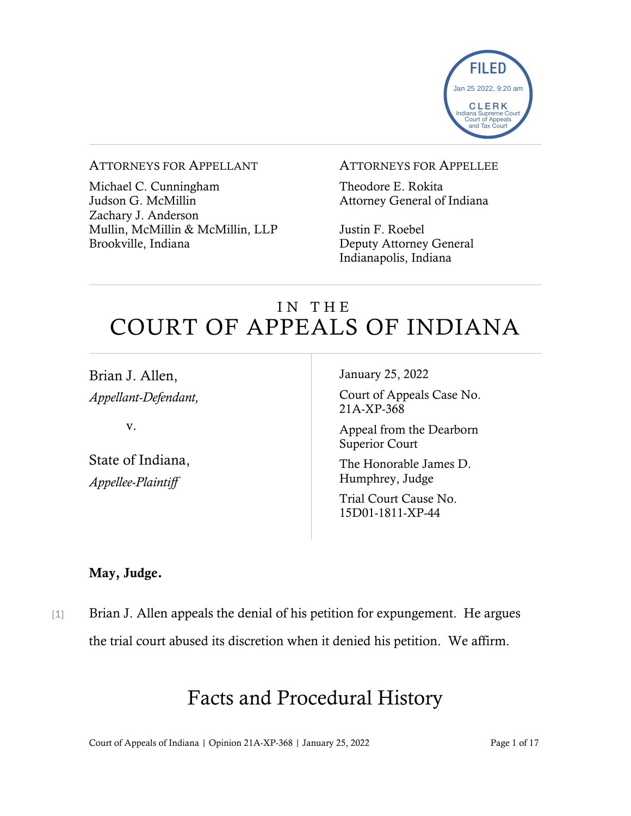

### ATTORNEYS FOR APPELLANT

Michael C. Cunningham Judson G. McMillin Zachary J. Anderson Mullin, McMillin & McMillin, LLP Brookville, Indiana

#### ATTORNEYS FOR APPELLEE

Theodore E. Rokita Attorney General of Indiana

Justin F. Roebel Deputy Attorney General Indianapolis, Indiana

# IN THE COURT OF APPEALS OF INDIANA

Brian J. Allen, *Appellant-Defendant,*

v.

State of Indiana, *Appellee-Plaintiff*

January 25, 2022

Court of Appeals Case No. 21A-XP-368

Appeal from the Dearborn Superior Court

The Honorable James D. Humphrey, Judge

Trial Court Cause No. 15D01-1811-XP-44

### May, Judge.

[1] Brian J. Allen appeals the denial of his petition for expungement. He argues the trial court abused its discretion when it denied his petition. We affirm.

# Facts and Procedural History

Court of Appeals of Indiana | Opinion 21A-XP-368 | January 25, 2022 Page 1 of 17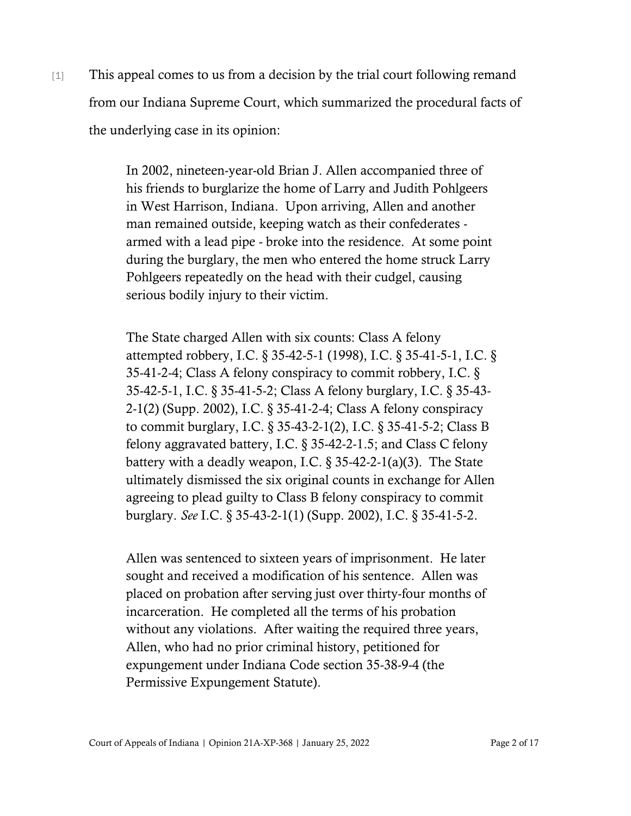[1] This appeal comes to us from a decision by the trial court following remand from our Indiana Supreme Court, which summarized the procedural facts of the underlying case in its opinion:

> In 2002, nineteen-year-old Brian J. Allen accompanied three of his friends to burglarize the home of Larry and Judith Pohlgeers in West Harrison, Indiana. Upon arriving, Allen and another man remained outside, keeping watch as their confederates armed with a lead pipe - broke into the residence. At some point during the burglary, the men who entered the home struck Larry Pohlgeers repeatedly on the head with their cudgel, causing serious bodily injury to their victim.

The State charged Allen with six counts: Class A felony attempted robbery, I.C. § 35-42-5-1 (1998), I.C. § 35-41-5-1, I.C. § 35-41-2-4; Class A felony conspiracy to commit robbery, I.C. § 35-42-5-1, I.C. § 35-41-5-2; Class A felony burglary, I.C. § 35-43- 2-1(2) (Supp. 2002), I.C. § 35-41-2-4; Class A felony conspiracy to commit burglary, I.C. § 35-43-2-1(2), I.C. § 35-41-5-2; Class B felony aggravated battery, I.C. § 35-42-2-1.5; and Class C felony battery with a deadly weapon, I.C.  $\S 35-42-2-1(a)(3)$ . The State ultimately dismissed the six original counts in exchange for Allen agreeing to plead guilty to Class B felony conspiracy to commit burglary. *See* I.C. § 35-43-2-1(1) (Supp. 2002), I.C. § 35-41-5-2.

Allen was sentenced to sixteen years of imprisonment. He later sought and received a modification of his sentence. Allen was placed on probation after serving just over thirty-four months of incarceration. He completed all the terms of his probation without any violations. After waiting the required three years, Allen, who had no prior criminal history, petitioned for expungement under Indiana Code section 35-38-9-4 (the Permissive Expungement Statute).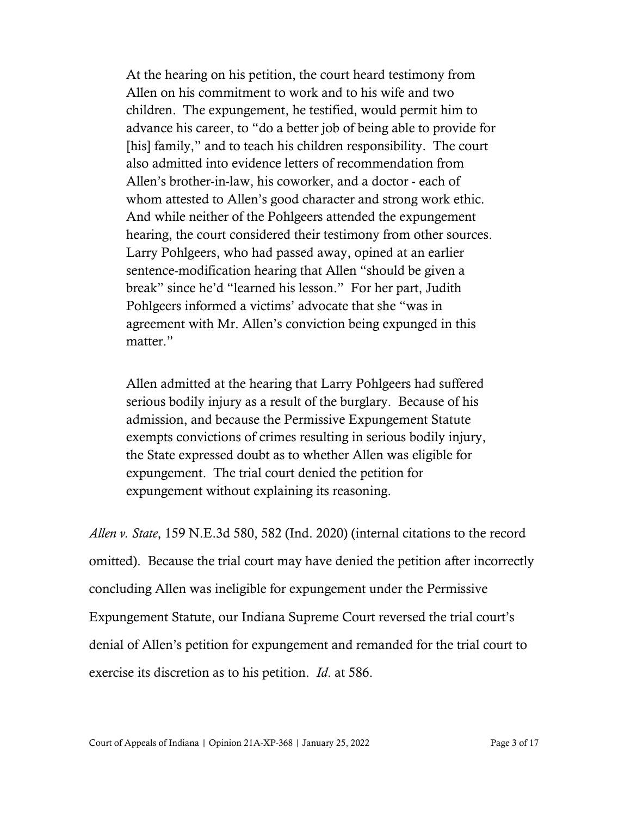At the hearing on his petition, the court heard testimony from Allen on his commitment to work and to his wife and two children. The expungement, he testified, would permit him to advance his career, to "do a better job of being able to provide for [his] family," and to teach his children responsibility. The court also admitted into evidence letters of recommendation from Allen's brother-in-law, his coworker, and a doctor - each of whom attested to Allen's good character and strong work ethic. And while neither of the Pohlgeers attended the expungement hearing, the court considered their testimony from other sources. Larry Pohlgeers, who had passed away, opined at an earlier sentence-modification hearing that Allen "should be given a break" since he'd "learned his lesson." For her part, Judith Pohlgeers informed a victims' advocate that she "was in agreement with Mr. Allen's conviction being expunged in this matter."

Allen admitted at the hearing that Larry Pohlgeers had suffered serious bodily injury as a result of the burglary. Because of his admission, and because the Permissive Expungement Statute exempts convictions of crimes resulting in serious bodily injury, the State expressed doubt as to whether Allen was eligible for expungement. The trial court denied the petition for expungement without explaining its reasoning.

*Allen v. State*, 159 N.E.3d 580, 582 (Ind. 2020) (internal citations to the record omitted). Because the trial court may have denied the petition after incorrectly concluding Allen was ineligible for expungement under the Permissive Expungement Statute, our Indiana Supreme Court reversed the trial court's denial of Allen's petition for expungement and remanded for the trial court to exercise its discretion as to his petition. *Id*. at 586.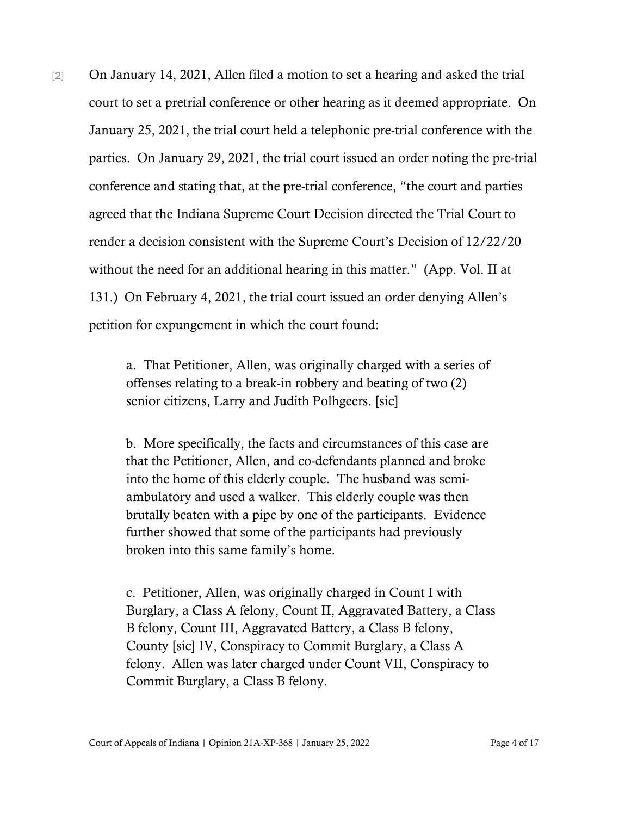[2] On January 14, 2021, Allen filed a motion to set a hearing and asked the trial court to set a pretrial conference or other hearing as it deemed appropriate. On January 25, 2021, the trial court held a telephonic pre-trial conference with the parties. On January 29, 2021, the trial court issued an order noting the pre-trial conference and stating that, at the pre-trial conference, "the court and parties agreed that the Indiana Supreme Court Decision directed the Trial Court to render a decision consistent with the Supreme Court's Decision of 12/22/20 without the need for an additional hearing in this matter." (App. Vol. II at 131.) On February 4, 2021, the trial court issued an order denying Allen's petition for expungement in which the court found:

> a. That Petitioner, Allen, was originally charged with a series of offenses relating to a break-in robbery and beating of two (2) senior citizens, Larry and Judith Polhgeers. [sic]

> b. More specifically, the facts and circumstances of this case are that the Petitioner, Allen, and co-defendants planned and broke into the home of this elderly couple. The husband was semiambulatory and used a walker. This elderly couple was then brutally beaten with a pipe by one of the participants. Evidence further showed that some of the participants had previously broken into this same family's home.

c. Petitioner, Allen, was originally charged in Count I with Burglary, a Class A felony, Count II, Aggravated Battery, a Class B felony, Count III, Aggravated Battery, a Class B felony, County [sic] IV, Conspiracy to Commit Burglary, a Class A felony. Allen was later charged under Count VII, Conspiracy to Commit Burglary, a Class B felony.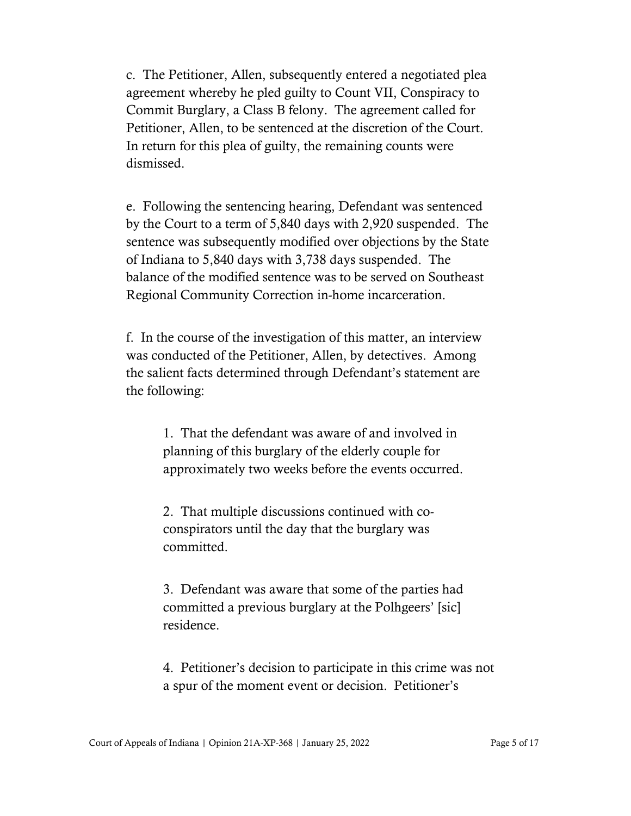c. The Petitioner, Allen, subsequently entered a negotiated plea agreement whereby he pled guilty to Count VII, Conspiracy to Commit Burglary, a Class B felony. The agreement called for Petitioner, Allen, to be sentenced at the discretion of the Court. In return for this plea of guilty, the remaining counts were dismissed.

e. Following the sentencing hearing, Defendant was sentenced by the Court to a term of 5,840 days with 2,920 suspended. The sentence was subsequently modified over objections by the State of Indiana to 5,840 days with 3,738 days suspended. The balance of the modified sentence was to be served on Southeast Regional Community Correction in-home incarceration.

f. In the course of the investigation of this matter, an interview was conducted of the Petitioner, Allen, by detectives. Among the salient facts determined through Defendant's statement are the following:

> 1. That the defendant was aware of and involved in planning of this burglary of the elderly couple for approximately two weeks before the events occurred.

2. That multiple discussions continued with coconspirators until the day that the burglary was committed.

3. Defendant was aware that some of the parties had committed a previous burglary at the Polhgeers' [sic] residence.

4. Petitioner's decision to participate in this crime was not a spur of the moment event or decision. Petitioner's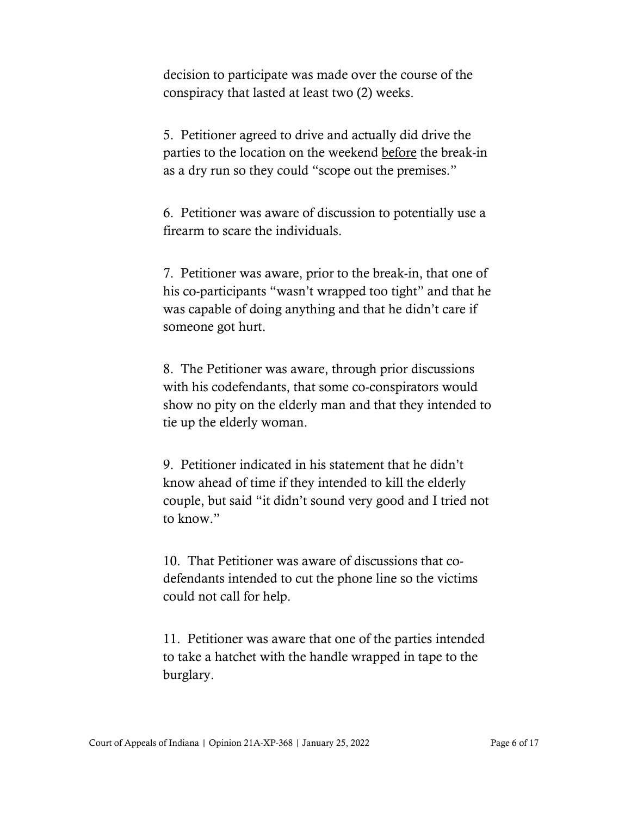decision to participate was made over the course of the conspiracy that lasted at least two (2) weeks.

5. Petitioner agreed to drive and actually did drive the parties to the location on the weekend before the break-in as a dry run so they could "scope out the premises."

6. Petitioner was aware of discussion to potentially use a firearm to scare the individuals.

7. Petitioner was aware, prior to the break-in, that one of his co-participants "wasn't wrapped too tight" and that he was capable of doing anything and that he didn't care if someone got hurt.

8. The Petitioner was aware, through prior discussions with his codefendants, that some co-conspirators would show no pity on the elderly man and that they intended to tie up the elderly woman.

9. Petitioner indicated in his statement that he didn't know ahead of time if they intended to kill the elderly couple, but said "it didn't sound very good and I tried not to know."

10. That Petitioner was aware of discussions that codefendants intended to cut the phone line so the victims could not call for help.

11. Petitioner was aware that one of the parties intended to take a hatchet with the handle wrapped in tape to the burglary.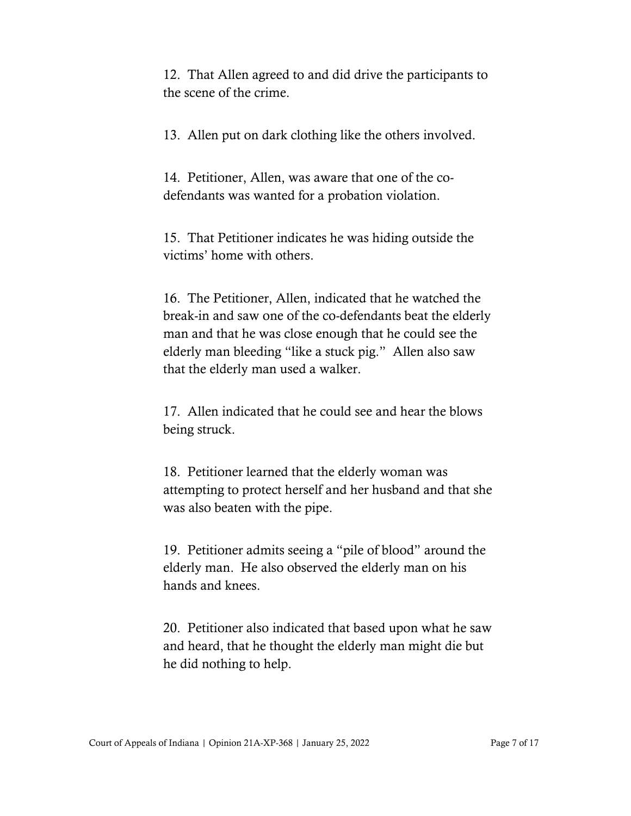12. That Allen agreed to and did drive the participants to the scene of the crime.

13. Allen put on dark clothing like the others involved.

14. Petitioner, Allen, was aware that one of the codefendants was wanted for a probation violation.

15. That Petitioner indicates he was hiding outside the victims' home with others.

16. The Petitioner, Allen, indicated that he watched the break-in and saw one of the co-defendants beat the elderly man and that he was close enough that he could see the elderly man bleeding "like a stuck pig." Allen also saw that the elderly man used a walker.

17. Allen indicated that he could see and hear the blows being struck.

18. Petitioner learned that the elderly woman was attempting to protect herself and her husband and that she was also beaten with the pipe.

19. Petitioner admits seeing a "pile of blood" around the elderly man. He also observed the elderly man on his hands and knees.

20. Petitioner also indicated that based upon what he saw and heard, that he thought the elderly man might die but he did nothing to help.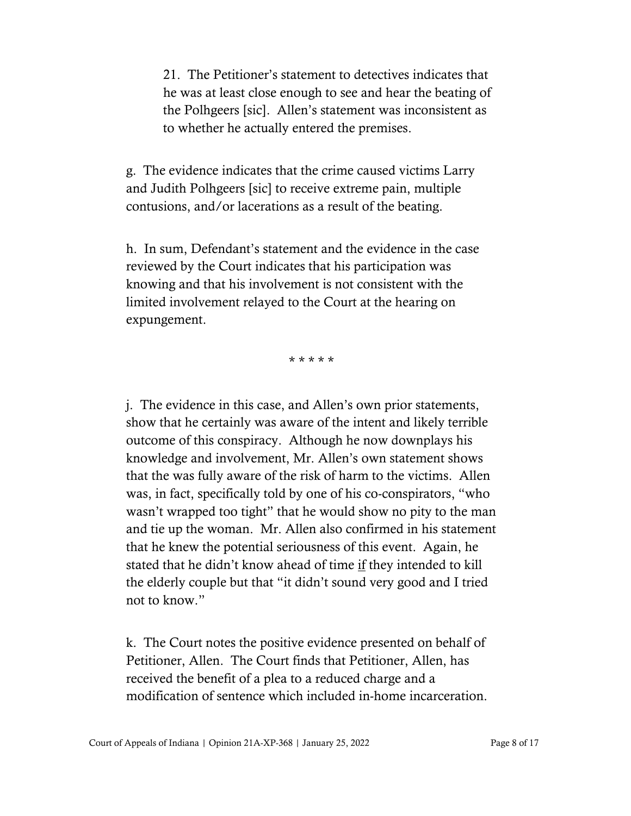21. The Petitioner's statement to detectives indicates that he was at least close enough to see and hear the beating of the Polhgeers [sic]. Allen's statement was inconsistent as to whether he actually entered the premises.

g. The evidence indicates that the crime caused victims Larry and Judith Polhgeers [sic] to receive extreme pain, multiple contusions, and/or lacerations as a result of the beating.

h. In sum, Defendant's statement and the evidence in the case reviewed by the Court indicates that his participation was knowing and that his involvement is not consistent with the limited involvement relayed to the Court at the hearing on expungement.

\* \* \* \* \*

j. The evidence in this case, and Allen's own prior statements, show that he certainly was aware of the intent and likely terrible outcome of this conspiracy. Although he now downplays his knowledge and involvement, Mr. Allen's own statement shows that the was fully aware of the risk of harm to the victims. Allen was, in fact, specifically told by one of his co-conspirators, "who wasn't wrapped too tight" that he would show no pity to the man and tie up the woman. Mr. Allen also confirmed in his statement that he knew the potential seriousness of this event. Again, he stated that he didn't know ahead of time if they intended to kill the elderly couple but that "it didn't sound very good and I tried not to know."

k. The Court notes the positive evidence presented on behalf of Petitioner, Allen. The Court finds that Petitioner, Allen, has received the benefit of a plea to a reduced charge and a modification of sentence which included in-home incarceration.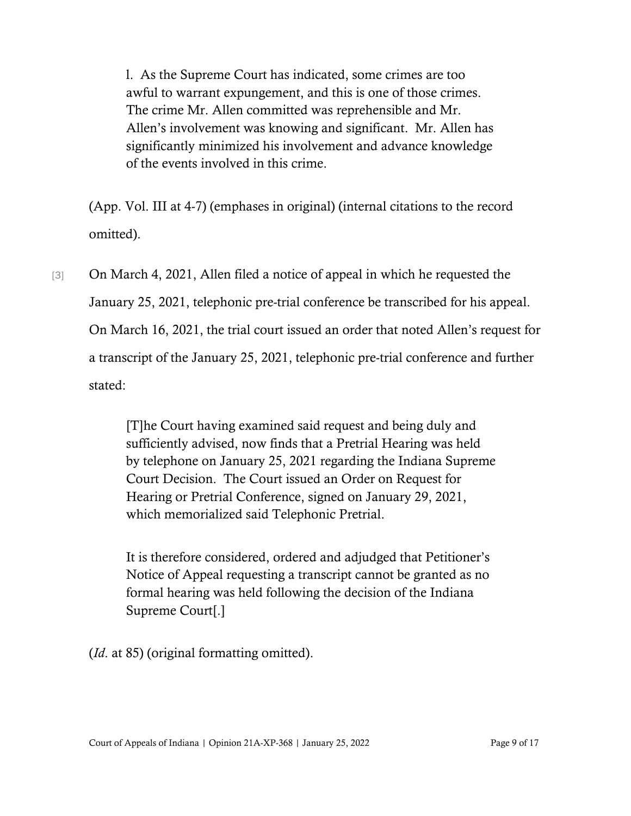l. As the Supreme Court has indicated, some crimes are too awful to warrant expungement, and this is one of those crimes. The crime Mr. Allen committed was reprehensible and Mr. Allen's involvement was knowing and significant. Mr. Allen has significantly minimized his involvement and advance knowledge of the events involved in this crime.

(App. Vol. III at 4-7) (emphases in original) (internal citations to the record omitted).

[3] On March 4, 2021, Allen filed a notice of appeal in which he requested the January 25, 2021, telephonic pre-trial conference be transcribed for his appeal. On March 16, 2021, the trial court issued an order that noted Allen's request for a transcript of the January 25, 2021, telephonic pre-trial conference and further stated:

> [T]he Court having examined said request and being duly and sufficiently advised, now finds that a Pretrial Hearing was held by telephone on January 25, 2021 regarding the Indiana Supreme Court Decision. The Court issued an Order on Request for Hearing or Pretrial Conference, signed on January 29, 2021, which memorialized said Telephonic Pretrial.

It is therefore considered, ordered and adjudged that Petitioner's Notice of Appeal requesting a transcript cannot be granted as no formal hearing was held following the decision of the Indiana Supreme Court[.]

(*Id*. at 85) (original formatting omitted).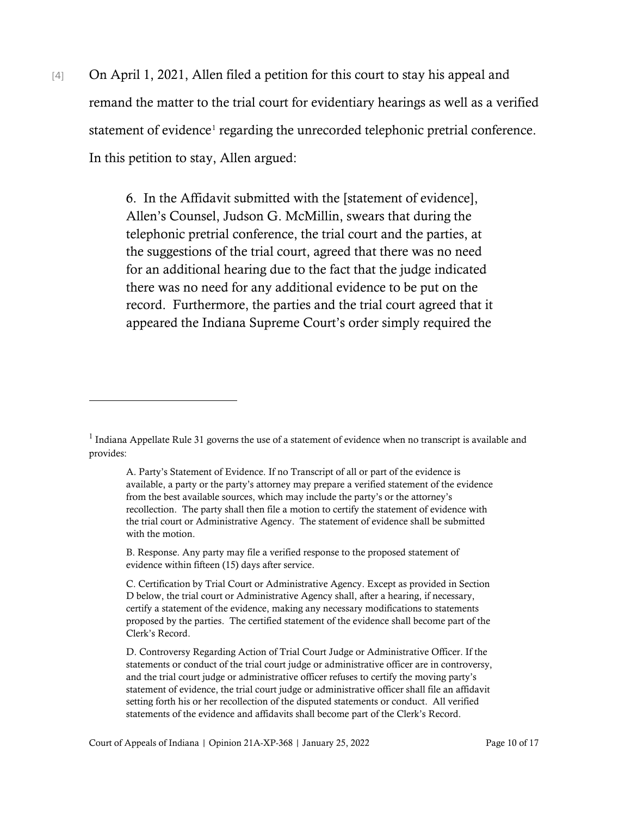[4] On April 1, 2021, Allen filed a petition for this court to stay his appeal and remand the matter to the trial court for evidentiary hearings as well as a verified statement of evidence<sup>[1](#page-9-0)</sup> regarding the unrecorded telephonic pretrial conference. In this petition to stay, Allen argued:

> 6. In the Affidavit submitted with the [statement of evidence], Allen's Counsel, Judson G. McMillin, swears that during the telephonic pretrial conference, the trial court and the parties, at the suggestions of the trial court, agreed that there was no need for an additional hearing due to the fact that the judge indicated there was no need for any additional evidence to be put on the record. Furthermore, the parties and the trial court agreed that it appeared the Indiana Supreme Court's order simply required the

<span id="page-9-0"></span> $1$  Indiana Appellate Rule 31 governs the use of a statement of evidence when no transcript is available and provides:

A. Party's Statement of Evidence. If no Transcript of all or part of the evidence is available, a party or the party's attorney may prepare a verified statement of the evidence from the best available sources, which may include the party's or the attorney's recollection. The party shall then file a motion to certify the statement of evidence with the trial court or Administrative Agency. The statement of evidence shall be submitted with the motion.

B. Response. Any party may file a verified response to the proposed statement of evidence within fifteen (15) days after service.

C. Certification by Trial Court or Administrative Agency. Except as provided in Section D below, the trial court or Administrative Agency shall, after a hearing, if necessary, certify a statement of the evidence, making any necessary modifications to statements proposed by the parties. The certified statement of the evidence shall become part of the Clerk's Record.

D. Controversy Regarding Action of Trial Court Judge or Administrative Officer. If the statements or conduct of the trial court judge or administrative officer are in controversy, and the trial court judge or administrative officer refuses to certify the moving party's statement of evidence, the trial court judge or administrative officer shall file an affidavit setting forth his or her recollection of the disputed statements or conduct. All verified statements of the evidence and affidavits shall become part of the Clerk's Record.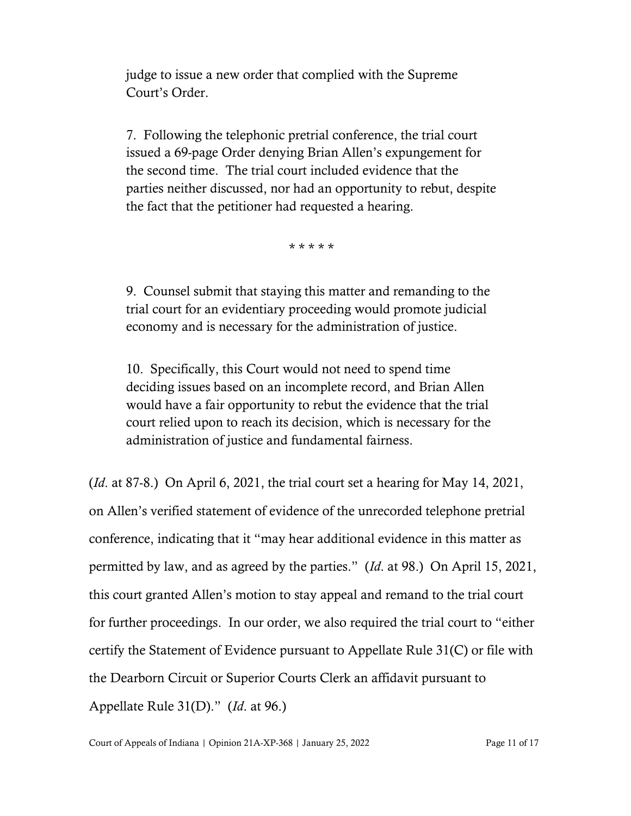judge to issue a new order that complied with the Supreme Court's Order.

7. Following the telephonic pretrial conference, the trial court issued a 69-page Order denying Brian Allen's expungement for the second time. The trial court included evidence that the parties neither discussed, nor had an opportunity to rebut, despite the fact that the petitioner had requested a hearing.

\* \* \* \* \*

9. Counsel submit that staying this matter and remanding to the trial court for an evidentiary proceeding would promote judicial economy and is necessary for the administration of justice.

10. Specifically, this Court would not need to spend time deciding issues based on an incomplete record, and Brian Allen would have a fair opportunity to rebut the evidence that the trial court relied upon to reach its decision, which is necessary for the administration of justice and fundamental fairness.

(*Id*. at 87-8.) On April 6, 2021, the trial court set a hearing for May 14, 2021, on Allen's verified statement of evidence of the unrecorded telephone pretrial conference, indicating that it "may hear additional evidence in this matter as permitted by law, and as agreed by the parties." (*Id*. at 98.) On April 15, 2021, this court granted Allen's motion to stay appeal and remand to the trial court for further proceedings. In our order, we also required the trial court to "either certify the Statement of Evidence pursuant to Appellate Rule 31(C) or file with the Dearborn Circuit or Superior Courts Clerk an affidavit pursuant to Appellate Rule 31(D)." (*Id*. at 96.)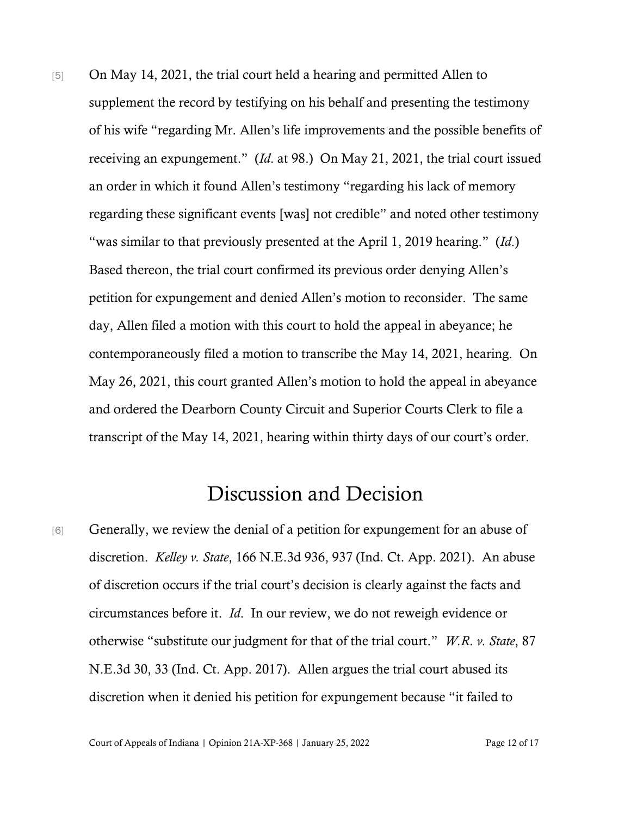[5] On May 14, 2021, the trial court held a hearing and permitted Allen to supplement the record by testifying on his behalf and presenting the testimony of his wife "regarding Mr. Allen's life improvements and the possible benefits of receiving an expungement." (*Id*. at 98.) On May 21, 2021, the trial court issued an order in which it found Allen's testimony "regarding his lack of memory regarding these significant events [was] not credible" and noted other testimony "was similar to that previously presented at the April 1, 2019 hearing." (*Id*.) Based thereon, the trial court confirmed its previous order denying Allen's petition for expungement and denied Allen's motion to reconsider. The same day, Allen filed a motion with this court to hold the appeal in abeyance; he contemporaneously filed a motion to transcribe the May 14, 2021, hearing. On May 26, 2021, this court granted Allen's motion to hold the appeal in abeyance and ordered the Dearborn County Circuit and Superior Courts Clerk to file a transcript of the May 14, 2021, hearing within thirty days of our court's order.

## Discussion and Decision

[6] Generally, we review the denial of a petition for expungement for an abuse of discretion. *Kelley v. State*, 166 N.E.3d 936, 937 (Ind. Ct. App. 2021). An abuse of discretion occurs if the trial court's decision is clearly against the facts and circumstances before it. *Id*. In our review, we do not reweigh evidence or otherwise "substitute our judgment for that of the trial court." *W.R. v. State*, 87 N.E.3d 30, 33 (Ind. Ct. App. 2017). Allen argues the trial court abused its discretion when it denied his petition for expungement because "it failed to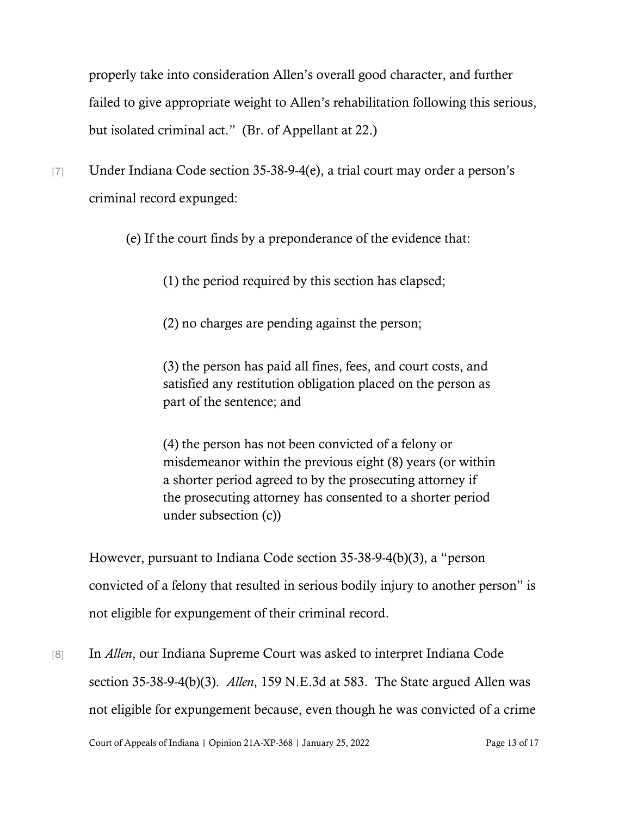properly take into consideration Allen's overall good character, and further failed to give appropriate weight to Allen's rehabilitation following this serious, but isolated criminal act." (Br. of Appellant at 22.)

[7] Under Indiana Code section 35-38-9-4(e), a trial court may order a person's criminal record expunged:

(e) If the court finds by a preponderance of the evidence that:

(1) the period required by this section has elapsed;

(2) no charges are pending against the person;

(3) the person has paid all fines, fees, and court costs, and satisfied any restitution obligation placed on the person as part of the sentence; and

(4) the person has not been convicted of a felony or misdemeanor within the previous eight (8) years (or within a shorter period agreed to by the prosecuting attorney if the prosecuting attorney has consented to a shorter period under subsection (c))

However, pursuant to Indiana Code section 35-38-9-4(b)(3), a "person convicted of a felony that resulted in serious bodily injury to another person" is not eligible for expungement of their criminal record.

[8] In *Allen*, our Indiana Supreme Court was asked to interpret Indiana Code section 35-38-9-4(b)(3). *Allen*, 159 N.E.3d at 583. The State argued Allen was not eligible for expungement because, even though he was convicted of a crime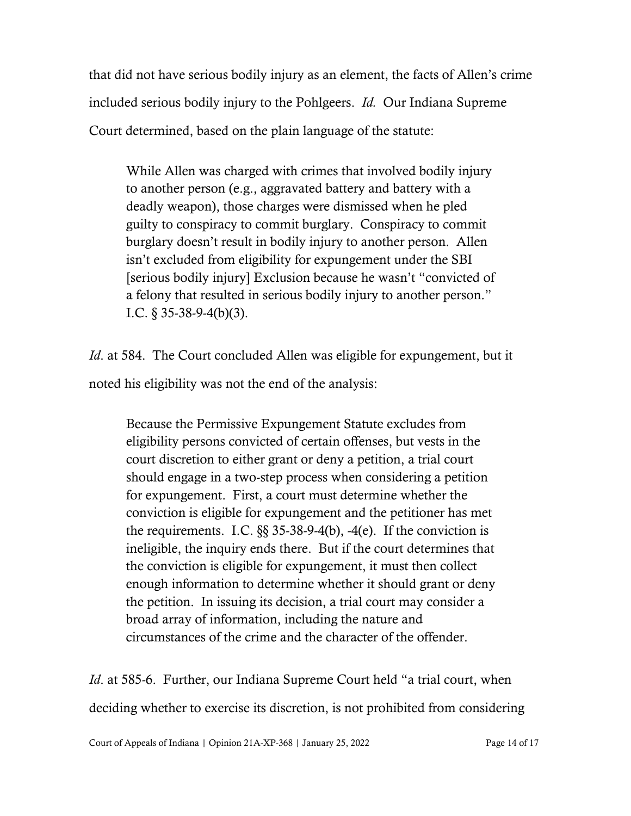that did not have serious bodily injury as an element, the facts of Allen's crime included serious bodily injury to the Pohlgeers. *Id.* Our Indiana Supreme Court determined, based on the plain language of the statute:

While Allen was charged with crimes that involved bodily injury to another person (e.g., aggravated battery and battery with a deadly weapon), those charges were dismissed when he pled guilty to conspiracy to commit burglary. Conspiracy to commit burglary doesn't result in bodily injury to another person. Allen isn't excluded from eligibility for expungement under the SBI [serious bodily injury] Exclusion because he wasn't "convicted of a felony that resulted in serious bodily injury to another person." I.C.  $\S$  35-38-9-4(b)(3).

*Id.* at 584. The Court concluded Allen was eligible for expungement, but it noted his eligibility was not the end of the analysis:

Because the Permissive Expungement Statute excludes from eligibility persons convicted of certain offenses, but vests in the court discretion to either grant or deny a petition, a trial court should engage in a two-step process when considering a petition for expungement. First, a court must determine whether the conviction is eligible for expungement and the petitioner has met the requirements. I.C.  $\S$ § 35-38-9-4(b), -4(e). If the conviction is ineligible, the inquiry ends there. But if the court determines that the conviction is eligible for expungement, it must then collect enough information to determine whether it should grant or deny the petition. In issuing its decision, a trial court may consider a broad array of information, including the nature and circumstances of the crime and the character of the offender.

*Id.* at 585-6. Further, our Indiana Supreme Court held "a trial court, when deciding whether to exercise its discretion, is not prohibited from considering

Court of Appeals of Indiana | Opinion 21A-XP-368 | January 25, 2022 Page 14 of 17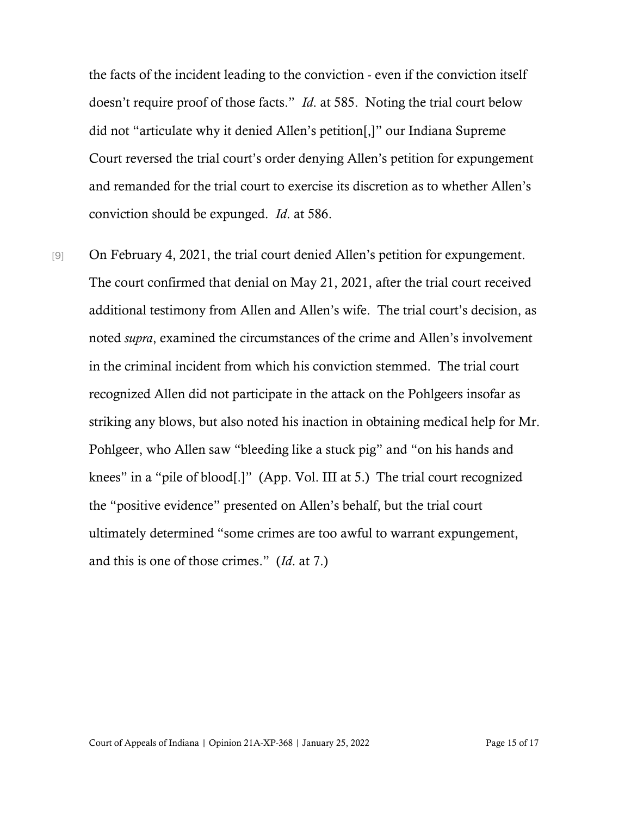the facts of the incident leading to the conviction - even if the conviction itself doesn't require proof of those facts." *Id*. at 585. Noting the trial court below did not "articulate why it denied Allen's petition[,]" our Indiana Supreme Court reversed the trial court's order denying Allen's petition for expungement and remanded for the trial court to exercise its discretion as to whether Allen's conviction should be expunged. *Id*. at 586.

[9] On February 4, 2021, the trial court denied Allen's petition for expungement. The court confirmed that denial on May 21, 2021, after the trial court received additional testimony from Allen and Allen's wife. The trial court's decision, as noted *supra*, examined the circumstances of the crime and Allen's involvement in the criminal incident from which his conviction stemmed. The trial court recognized Allen did not participate in the attack on the Pohlgeers insofar as striking any blows, but also noted his inaction in obtaining medical help for Mr. Pohlgeer, who Allen saw "bleeding like a stuck pig" and "on his hands and knees" in a "pile of blood[.]" (App. Vol. III at 5.) The trial court recognized the "positive evidence" presented on Allen's behalf, but the trial court ultimately determined "some crimes are too awful to warrant expungement, and this is one of those crimes." (*Id*. at 7.)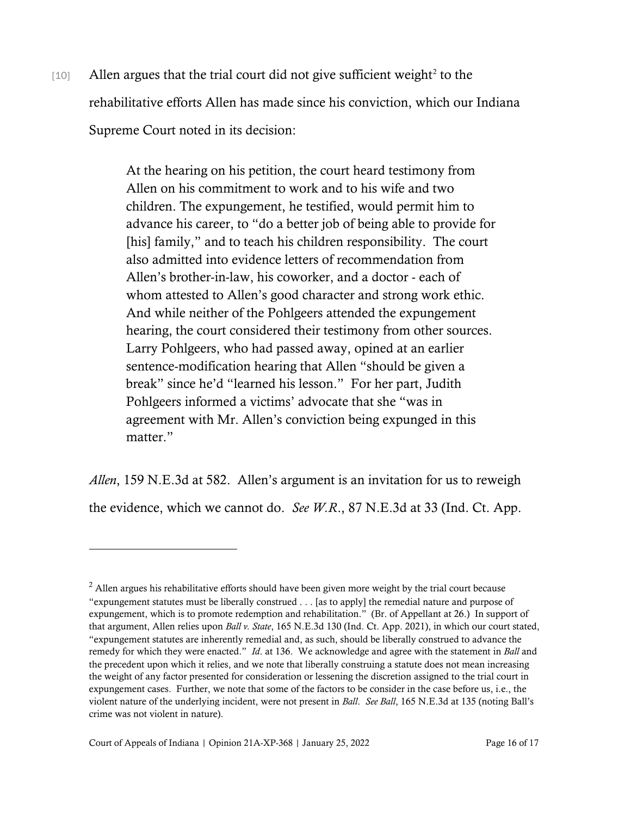$[10]$  Allen argues that the trial court did not give sufficient weight<sup>[2](#page-15-0)</sup> to the rehabilitative efforts Allen has made since his conviction, which our Indiana Supreme Court noted in its decision:

> At the hearing on his petition, the court heard testimony from Allen on his commitment to work and to his wife and two children. The expungement, he testified, would permit him to advance his career, to "do a better job of being able to provide for [his] family," and to teach his children responsibility. The court also admitted into evidence letters of recommendation from Allen's brother-in-law, his coworker, and a doctor - each of whom attested to Allen's good character and strong work ethic. And while neither of the Pohlgeers attended the expungement hearing, the court considered their testimony from other sources. Larry Pohlgeers, who had passed away, opined at an earlier sentence-modification hearing that Allen "should be given a break" since he'd "learned his lesson." For her part, Judith Pohlgeers informed a victims' advocate that she "was in agreement with Mr. Allen's conviction being expunged in this matter."

*Allen*, 159 N.E.3d at 582. Allen's argument is an invitation for us to reweigh the evidence, which we cannot do. *See W.R*., 87 N.E.3d at 33 (Ind. Ct. App.

<span id="page-15-0"></span> $<sup>2</sup>$  Allen argues his rehabilitative efforts should have been given more weight by the trial court because</sup> "expungement statutes must be liberally construed . . . [as to apply] the remedial nature and purpose of expungement, which is to promote redemption and rehabilitation." (Br. of Appellant at 26.) In support of that argument, Allen relies upon *Ball v. State*, 165 N.E.3d 130 (Ind. Ct. App. 2021), in which our court stated, "expungement statutes are inherently remedial and, as such, should be liberally construed to advance the remedy for which they were enacted." *Id*. at 136. We acknowledge and agree with the statement in *Ball* and the precedent upon which it relies, and we note that liberally construing a statute does not mean increasing the weight of any factor presented for consideration or lessening the discretion assigned to the trial court in expungement cases. Further, we note that some of the factors to be consider in the case before us, i.e., the violent nature of the underlying incident, were not present in *Ball*. *See Ball*, 165 N.E.3d at 135 (noting Ball's crime was not violent in nature).